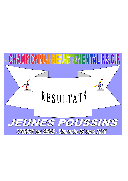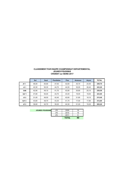## **CLASSEMENT PAR EQUIPE CHAMPIONNAT DEPARTEMENTAL JEUNES POUSSINS CROISSY sur SEINE 2017**

|                  | Sol   | Saut  | <b>Paralleles</b> | <b>Fixe</b> | <b>Anneaux</b> | Arcon | <b>TOTAL</b> |
|------------------|-------|-------|-------------------|-------------|----------------|-------|--------------|
| AT <sub>1</sub>  | 48.00 | 50.90 | 47.00             | 42.60       | 35.70          | 24.50 | 248.70       |
| JC 1             | 42.30 | 50.30 | 44.70             | 44.50       | 35.00          | 26.40 | 243.20       |
| <b>GAB</b>       | 42.90 | 49.10 | 41.70             | 43.90       | 35.80          | 25.10 | 238,50       |
| SLP <sub>1</sub> | 47.80 | 50.00 | 44.70             | 43.40       | 19.00          | 19.00 | 223.90       |
| JC <sub>2</sub>  | 31.00 | 49.50 | 42.40             | 42.60       | 31.80          | 18,10 | 215.40       |
| SLP <sub>2</sub> | 43.60 | 48.70 | 43.30             | 41.70       | 17.50          | 17.80 | 212.60       |
| AT <sub>2</sub>  | 38.60 | 42.70 | 39.20             | 44.30       | 21,20          | 19.20 | 205,20       |

| <b>JEUNES POUSSINS</b> | JP3 | 2009         | 16 |
|------------------------|-----|--------------|----|
|                        | JP2 | 2010         | 16 |
|                        | IP1 | 2011         |    |
|                        |     | <b>TOTAL</b> | 40 |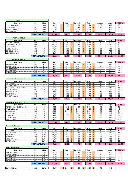|                      | GAB                                                  |                     |                                      |                |                      |                                                |                            |                                  |                |                                  |                 |              |                       |
|----------------------|------------------------------------------------------|---------------------|--------------------------------------|----------------|----------------------|------------------------------------------------|----------------------------|----------------------------------|----------------|----------------------------------|-----------------|--------------|-----------------------|
|                      | Nom, Prénom                                          | An.                 | Sigle                                | Sol            |                      | Saut                                           | <b>Paralleles</b>          |                                  | Fixe           |                                  | Anneaux         | Arçon        | <b>TOTAL</b>          |
| 1                    | BEAUFOUR adrian                                      | 2010                | GAB                                  | 10,20          | 3                    | 12.40<br>3                                     | 10.30                      | $\overline{2}$                   | 11.40          | $\overline{2}$                   | 9,30            | 6,60         | 60,20                 |
| $\overline{2}$       | LOUIS nathan                                         | 2009                | GAB                                  | 11,90          | $\overline{4}$       | 12,60<br>3                                     | 11,40                      | $\overline{2}$                   | 11,00          | $\overline{4}$                   | 9,10            | 6,90         | 62,90                 |
| 3                    | <b>MONNOT</b> timothe                                | 2009                | GAB                                  | 11,60          | 3                    | 12,00<br>3                                     | 10,20                      | $\overline{2}$                   | 10,80          | $\overline{2}$                   | 8,80            | 5,10         | 58,50                 |
| 4                    | THOMAS edern                                         | 2011                | GAB                                  | 9,20           | $\overline{2}$       | 12,10<br>$\mathbf{3}$                          | 9,80                       | 2                                | 10,70          | $\overline{2}$                   | 8,60            | 6,50         | 56,90                 |
|                      |                                                      | <b>TOTAL EQUIPE</b> |                                      | 42,90          |                      | 49.10                                          | 41.70                      |                                  | 43,90          |                                  | 35,80           | 25,10        | 238,50                |
|                      |                                                      |                     |                                      |                |                      |                                                |                            |                                  |                |                                  |                 |              |                       |
|                      | <b>AVENIR de TRIEL 1</b>                             |                     |                                      |                |                      |                                                |                            |                                  |                |                                  |                 |              |                       |
|                      | Nom, Prénom                                          | An.                 | Sigle                                | Sol            |                      | Saut                                           | <b>Paralleles</b>          |                                  | Fixe           |                                  | Anneaux         | Arçon        | <b>TOTAL</b>          |
| -1<br>$\overline{c}$ | <b>TRUFFELI Clarence</b><br><b>GOURGUECHON Emile</b> | 2011<br>2011        | AT <sub>1</sub>                      | 11,50<br>11,70 | 3<br>$\mathbf{3}$    | 11,50<br>3<br>3<br>12,60                       | 10.00<br>11,40             | $\overline{2}$<br>$\overline{2}$ | 10,10<br>10,30 | $\overline{2}$<br>$\overline{2}$ | 8,80<br>8,60    | 5,70<br>4,80 | 57,60<br>59,40        |
| 3                    | ROUZEAU Adrien                                       | 2009                | AT <sub>1</sub><br>AT1               | 12,00          | 3                    | 12,70<br>3                                     | 11.20                      | $\overline{2}$                   | 9,50           | $\overline{2}$                   | 6,20            | 5,20         | 56,80                 |
| $\overline{4}$       | <b>MUSEUX Baptiste</b>                               | 2009                | AT1                                  | 11,60          | 3                    | 12,20<br>3                                     | 11,10                      | $\overline{2}$                   | 10,10          | $\overline{2}$                   | 3,60            | 4,90         | 53,50                 |
| 5                    | <b>SENEQUE Gabriel</b>                               | 2009                | AT <sub>1</sub>                      | 11,80          | $\mathbf{3}$         | 12,70<br>3                                     | 11.70                      | $\overline{2}$                   | 10,60          | 3                                | 9,30            | 7,20         | 63,30                 |
| 6                    | LE GUENNIC Martin                                    | 2010                | AT1                                  | 12,50          | $\overline{4}$       | 12,90<br>$\overline{4}$                        | 12,70                      | $\overline{4}$                   | 11,60          | 3                                | 9,00            | 6,40         | 65,10                 |
|                      |                                                      | <b>TOTAL EQUIPE</b> |                                      | 48,00          |                      | 50,90                                          | 47,00                      |                                  | 42,60          |                                  | 35,70           | 24,50        | 248,70                |
|                      |                                                      |                     |                                      |                |                      |                                                |                            |                                  |                |                                  |                 |              |                       |
|                      | <b>AVENIR de TRIEL 2</b>                             |                     |                                      |                |                      |                                                |                            |                                  |                |                                  |                 |              |                       |
|                      | Nom, Prénom                                          | An.                 | Sigle                                | Sol            |                      | Saut                                           | <b>Paralleles</b>          |                                  | Fixe           |                                  | Anneaux         | Arçon        | <b>TOTAL</b>          |
| 1<br>$\overline{2}$  | <b>JAUSSAUD Louis</b><br>PIERRE Tristan              | 2009                | AT <sub>2</sub>                      | 9,50<br>9,60   | -1<br>$\overline{1}$ | 10,40<br>$\mathbf{1}$<br>10.00<br>3            | 9,80<br>9,90               | $\overline{2}$<br>$\overline{2}$ | 10,70<br>10.70 | $\overline{2}$<br>$\overline{2}$ | 4,90<br>3,20    | 4,70<br>4,70 | 50,00<br>48,10        |
| 3                    | <b>VACHER Maxime</b>                                 | 2009<br>2010        | AT <sub>2</sub><br>AT <sub>2</sub>   | 9,40           | $\overline{1}$       | 10,00<br>3                                     | 9,00                       | $\overline{2}$                   | 11,10          | $\overline{2}$                   | 4,60            | 4,50         | 48,60                 |
| 4                    | ROQUES Nolan                                         | 2011                | AT <sub>2</sub>                      | 9,60           |                      | 10,20<br>1                                     | 9,70                       | $\overline{2}$                   | 11,10          | $\overline{2}$                   | 4,60            | 3,10         | 48,30                 |
| 5                    | <b>BLIVET Florian</b>                                | 2011                | AT <sub>2</sub>                      | 9.90           | 1                    | 3<br>12,10                                     | 9.80                       | $\overline{2}$                   | 11,40          | $\overline{2}$                   | 7,10            | 5,30         | 55,60                 |
|                      |                                                      | <b>TOTAL EQUIPE</b> |                                      | 38,60          |                      | 42.70                                          | 39.20                      |                                  | 44,30          |                                  | 21,20           | 19,20        | 205,20                |
|                      |                                                      |                     |                                      |                |                      |                                                |                            |                                  |                |                                  |                 |              |                       |
|                      | La Jeunesse de CROISSY 1                             |                     |                                      |                |                      |                                                |                            |                                  |                |                                  |                 |              |                       |
|                      | Nom, Prénom                                          | An.                 | Sigle                                | Sol<br>5,50    |                      | Saut<br>12,30<br>3                             | <b>Paralleles</b><br>10.40 | 2                                | Fixe<br>10,60  | $\overline{2}$                   | Anneaux<br>6,70 | Arçon        | <b>TOTAL</b><br>50,50 |
| -1<br>$\overline{2}$ | <b>DEDMAN Loïc</b><br><b>DUTERNE Florian</b>         | 2009<br>2010        | JC1<br>JC1                           | 6,20           | 3<br>3               | 12,30<br>3                                     | 10,90                      | 2                                | 10,80          | $\overline{2}$                   | 5,70            | 5,00<br>4,10 | 50,00                 |
| 3                    | JOURDAN-FERNANDES Sasha                              | 2010                | JC1                                  | 6,10           | $\overline{4}$       | 12,60<br>3                                     | 11,00                      | $\overline{2}$                   | 10,40          | $\overline{2}$                   | 8,40            | 6,50         | 55,00                 |
| $\overline{4}$       | <b>ORCHARD Lewis</b>                                 | 2010                | JC1                                  | 12,00          | $\overline{4}$       | 12,40<br>3                                     | 10,40                      | 3                                | 11,40          | 3                                | 8,20            | 6,60         | 61,00                 |
| 5                    | <b>BETHELL Théodore</b>                              | 2011                | JC1                                  | 6,60           | $\overline{4}$       | 12,50<br>3                                     | 11,20                      | $\overline{2}$                   | 11,30          | 3                                | 8,10            | 6,00         | 55,70                 |
| 6                    | <b>GLUCK Phileas</b>                                 | 2009                | JC1                                  | 11,20          | $\overline{4}$       | 3<br>12,70                                     | 11,50                      | 3                                | 11,00          | 3                                | 9,20            | 6,70         | 62,30                 |
|                      |                                                      |                     |                                      |                |                      |                                                |                            |                                  |                |                                  |                 |              |                       |
| 7                    | MAILLOT Lealand                                      | 2010                | JC1                                  | 12,50          | $\overline{4}$       | 12,50<br>3                                     | 11,00                      | 3                                | 10,70          | 3                                | 9,20            | 6,60         | 62,50                 |
|                      |                                                      | <b>TOTAL EQUIPE</b> |                                      | 42.30          |                      | 50.30                                          | 44.70                      |                                  | 44.50          |                                  | 35.00           | 26.40        | 243,20                |
|                      | La Jeunesse de CROISSY 2                             |                     |                                      |                |                      |                                                |                            |                                  |                |                                  |                 |              |                       |
|                      | Nom, Prénom                                          | An.                 | Sigle                                | Sol            |                      | Saut                                           | <b>Paralleles</b>          |                                  | Fixe           |                                  | Anneaux         | Arçon        | <b>TOTAL</b>          |
| 1                    | PEREIRA DAS NEVES Valentin                           | 2011                | JC <sub>2</sub>                      | 6,80           | $\overline{2}$       | 12,40<br>3                                     | 10.00                      | 2                                | 9,50           | $\overline{2}$                   | 7,40            | 4,80         | 50,90                 |
| $\overline{c}$       | RAMBAUD Romain                                       | 2010                | JC <sub>2</sub>                      | 6,20           | $\overline{2}$       | 3<br>11,80                                     | 9,90                       | $\overline{2}$                   | 10,20          | $\overline{2}$                   | 7.40            | 2,60         | 48,10                 |
| 3                    | <b>TARADE Matis</b>                                  | 2009                | JC <sub>2</sub>                      | 5,00           | $\overline{c}$       | 3<br>5,00                                      | 6,50                       | $\overline{2}$                   | 9,90           | $\overline{c}$                   | 4,70            | 3,00         | 34,10                 |
| $\overline{4}$       | <b>HUREL Robin</b>                                   | 2011                | JC <sub>2</sub>                      | 5.00           | $\overline{2}$       | 3<br>4.00                                      | 6,50                       | 2                                | 9,30           | 2                                | 7.80            | 2.40         | 35,00                 |
| 5                    | CLARK Jack                                           | 2009                | JC <sub>2</sub>                      | 6,00           | 3                    | 12,30<br>$\mathbf{3}$                          | 11,00                      | $\overline{2}$                   | 11,10          | $\overline{2}$                   | 9,20            | 4,70         | 54,30                 |
| 6<br>$\overline{7}$  | <b>LEDENT Sacha</b><br><b>BIORET Lucas</b>           | 2009<br>2010        | JC <sub>2</sub><br>JC <sub>2</sub>   | 12,00          | 3<br>3               | 12,50<br>$\mathbf{3}$<br>3                     | 10,90                      | $\overline{2}$<br>$\overline{2}$ | 11,40<br>9,70  | $\overline{2}$<br>$\overline{2}$ | 5,20            | 4,40         | 56,40<br>46,30        |
|                      |                                                      |                     |                                      | 5,00           |                      | $\overline{12,30}$                             | 10,50                      |                                  |                |                                  | 4,60            | 4,20         |                       |
|                      |                                                      | <b>TOTAL EQUIPE</b> |                                      | 31,00          |                      | 49,50                                          | 42,40                      |                                  | 42,60          |                                  | 31,80           | 18,10        | 215,40                |
|                      | Saint Louis Poissy 1                                 |                     |                                      |                |                      |                                                |                            |                                  |                |                                  |                 |              |                       |
|                      | Nom, Prénom                                          | An.                 | Sigle                                | Sol            |                      | Saut                                           | <b>Paralleles</b>          |                                  | Fixe           |                                  | Anneaux         | Arçon        | <b>TOTAL</b>          |
| $\mathbf 1$          | PIAT Célian                                          | 2010                | SLP 1                                | 12,00          | 3                    | $12,50$ 3                                      | 9,00                       | $\overline{2}$                   | 10,60          | $\overline{2}$                   | 2,80            | 4,60         | 51,50                 |
| $\overline{c}$       | <b>LEGRAND Elliot</b>                                | 2009                | SLP <sub>1</sub>                     | 11,50          | $\mathbf{3}$         | 12,00<br>3                                     | 11,10                      | $\overline{2}$                   | 10,90          | $\overline{2}$                   | 4,80            | 4,40         | 54,70                 |
| 3<br>4               | <b>BOUCHAID Jed</b>                                  | 2010                | SLP <sub>1</sub><br>SLP <sub>1</sub> | 11,00          | $\mathbf{3}$<br>3    | 12,50<br>3<br>3                                | 11,30                      | $\overline{2}$<br>$\overline{2}$ | 11,10          | $\overline{2}$                   | 4,90<br>3,50    | 4,70<br>4,30 | 55,50                 |
| 5                    | <b>FABRE Adrien</b><br><b>MOULINET Louis</b>         | 2009<br>2010        | SLP <sub>1</sub>                     | 11,90<br>11,70 | 3                    | 12,30<br>12,50<br>$\mathbf{3}$                 | 11,50<br>10,80             | $\overline{2}$                   | 10,60<br>10,50 | $\overline{2}$<br>$\overline{2}$ | 4,00            | 5,00         | 54,10<br>54,50        |
| 6                    | <b>CAPERAN Max</b>                                   | 2009                | SLP <sub>1</sub>                     | 12,20          | $\mathbf{3}$         | 12,50<br>$\mathbf{3}$                          | 10,00                      | $\overline{2}$                   | 10,80          | 2 <sup>2</sup>                   | 5,30            | 4,70         | 55,50                 |
|                      |                                                      | <b>TOTAL EQUIPE</b> |                                      | 47,80          |                      | 50,00                                          | 44,70                      |                                  | 43,40          |                                  | 19,00           | 19,00        | 223,90                |
|                      |                                                      |                     |                                      |                |                      |                                                |                            |                                  |                |                                  |                 |              |                       |
|                      | <b>Saint Louis Poissy 2</b>                          |                     |                                      |                |                      |                                                |                            |                                  |                |                                  |                 |              |                       |
|                      | Nom, Prénom                                          | An.                 | Sigle                                | Sol            |                      | Saut                                           | <b>Paralleles</b>          |                                  | Fixe           |                                  | Anneaux         | Arçon        | <b>TOTAL</b>          |
| $\mathbf 1$          | <b>KANTHAR Eelavan</b>                               | 2010                | SLP <sub>2</sub>                     | 10,20          | 3                    | 11,00<br>$\mathbf{3}$                          | 11,40                      | $\overline{2}$                   | 10,80          | $\overline{2}$                   | 3,50            | 4,50         | 51,40                 |
| 2<br>3               | <b>VINOLO Gabriel</b><br><b>GUIDOUX Axel</b>         | 2010                | SLP <sub>2</sub><br>SLP <sub>2</sub> | 10,60<br>10,80 | 3<br>3               | 11,90<br>$\mathbf{3}$<br>12,10<br>$\mathbf{3}$ | 10,00<br>10,10             | $\overline{2}$<br>2              | 10,50<br>10,20 | $\overline{2}$<br>$\overline{2}$ | 4,40<br>2,80    | 4,20<br>4,30 | 51,60<br>50,30        |
| 4                    | <b>TYNDIUK Victor</b>                                | 2010<br>2010        | SLP <sub>2</sub>                     | 10,00          | 3                    | 12,30<br>3                                     | 10,50                      | $\overline{2}$                   | 10,00          | $\overline{2}$                   | 4,10            | 3,90         | 50,80                 |
| 5                    | FROJMAN Arié                                         | 2009                | SLP <sub>2</sub>                     | 12,00          | 3                    | 12,40<br>3                                     | 11,30                      | $\overline{2}$                   | 10,20          | $\overline{2}$                   | 5,50            | 4,80         | 56,20                 |
|                      |                                                      | <b>TOTAL EQUIPE</b> |                                      | 43,60          |                      | 48,70                                          | 43,30                      |                                  | 41,70          |                                  | 17,50           | 17,80        | 212,60                |
|                      |                                                      |                     |                                      |                |                      |                                                |                            |                                  |                |                                  |                 |              |                       |
|                      | <b>GUIDOUX Ewan</b>                                  | 2008                | SLP <sub>2</sub>                     | 10,50          | 3                    | 6,00<br>$\mathbf{3}$                           | 10,50                      | 2 <sup>1</sup>                   | 10,30          | $\overline{2}$                   | 2,70            | 4,40         | 44,40                 |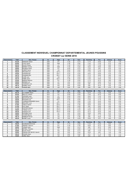## **CLASSEMENT INDIVIDUEL CHAMPIONNAT DEPARTEMENTAL JEUNES POUSSINS CROISSY sur SEINE 2018**

| <b>Classement</b>        | Total        | Nom, Prénom                | An.       | Sigle                         | Sol   | Saut        | <b>Paralleles</b> | Fixe   | Anneaux | Arcon |
|--------------------------|--------------|----------------------------|-----------|-------------------------------|-------|-------------|-------------------|--------|---------|-------|
| $\overline{\phantom{1}}$ | 63,30        | SENEQUE Gabriel            | 2009      | AT <sub>1</sub>               | 11,80 | 12,70       | 11,70             | 10,60  | 9,30    | 7,20  |
| . 2. .                   | 62,90        | LOUIS nathan               | 2009      | GAB                           | 11,90 | 12,60       | 11,40             | 11,00  | 9,10    | 6,90  |
|                          | 62,30        | <b>GLUCK Phileas</b>       | 2009      | JC1                           | 11,20 | 12,70       | 11,50             | 11,00  | 9,20    | 6,70  |
|                          | 58,50        | MONNOT timothe             | 2009      | GAB                           | 11,60 | 12,00       | 10,20             | 10,80  | 8,80    | 5,10  |
| 5                        | 56,80        | ROUZEAU Adrien             | 2009      | AT1                           | 12,00 | 12,70       | 11,20             | 9,50   | 6, 20   | 5,20  |
| 6                        | 56,40        | LEDENT Sacha               | 2009      | JC2                           | 12,00 | 12,50       | 10,90             | 11,40  | 5,20    | 4,40  |
|                          | 56,20        | <b>FROJMAN Arié</b>        | 2009      | SLP <sub>2</sub>              | 12,00 | 12,40       | 11,30             | 10,20  | 5,50    | 4,80  |
|                          | 55,50        | CAPERAN Max                | 2009      | SLP <sub>1</sub><br><u>--</u> | 12,20 | 12,50       | 10,00             | 10,80  | 5,30    | 4,70  |
| 9                        | 54,70        | <b>LEGRAND Elliot</b>      | 2009      | SLP                           | 11,50 | 12,00       | 11, 10            | 10,90  | 4,80    | 4,40  |
| 10                       | 54,30        | CLARK Jack                 | 2009      | JC2                           | 6,00  | 12,30       | 11,00             | 11,10  | 9,20    | 4,70  |
| 11                       | 54,10        | FABRE Adrien               | 2009      | SLP 1                         | 11,90 | 12,30       | 11,50             | 10,60  | 3,50    | 4,30  |
| 12                       | 53,50        | MUSEUX Baptiste            | 2009      | AT <sub>1</sub>               | 11,60 | 12,20       | 11,10             | 10, 10 | 3,60    | 4,90  |
| .13.                     | 50,50        | DEDMAN Loïc                | 2009      | JC1                           | 5,50  | 12,30       | 10,40             | 10,60  | 6,70    | 5,00  |
| $\frac{14}{1}$           | 50,00        | JAUSSAUD Louis             | 2009<br>. | AT <sub>2</sub>               | 9,50  | 10,40       | 9,80              | 10,70  | 4,90    | 4,70  |
| .15                      | 48,10        | PIERRE Tristan             | 2009      | AT <sub>2</sub>               | 9,60  | 10,00       | 9,90              | 10,70  | 3,20    | 4,70  |
| 16                       | 34,10        | <b>TARADE Matis</b>        | 2009      | JC <sub>2</sub>               | 5,00  | 5,00        | 6,50              | 9,90   | 4,70    | 3,00  |
|                          |              |                            |           |                               |       |             |                   |        |         |       |
| <b>Classement</b>        | <b>Total</b> | Nom. Prénom                | An.       | Sigle                         | Sol   | <b>Saut</b> | <b>Paralleles</b> | Fixe   | Anneaux | Arçon |
| 1                        | 65,10        | <b>E GUENNIC Martin</b>    | 2010      | AT <sub>1</sub>               | 12,50 | 12,90       | 12,70             | 11,60  | 9,00    | 6,40  |
|                          | 62,50        | MAILLOT Lealand            | 2010      | JC1                           | 12,50 | 12,50       | 11,00             | 10,70  | 9,20    | 6,60  |
| .3.                      | 61,00        | ORCHARD Lewis              | 2010      | JC1                           | 12,00 | 12,40       | 10,40             | 11,40  | 8,20    | 6,60  |
|                          | 60,20        | BEAUFOUR adrian            | 2010      | GAB                           | 10,20 | 12,40       | 10,30             | 11,40  | 9,30    | 6,60  |
| 5                        | 55,50        | <b>BOUCHAID Jed</b>        | 2010      | SLP <sub>1</sub>              | 11,00 | 12,50       | 11,30             | 11,10  | 4,90    | 4,70  |
|                          | 55,00        | JOURDAN-FERNANDES Sasha    | 2010      | JC1                           | 6, 10 | 12,60       | 11,00             | 10,40  | 8,40    | 6,50  |
|                          | 54,50        | <b>MOULINET Louis</b>      | 2010      | SLP <sub>1</sub>              | 11,70 | 12,50       | 10,80             | 10,50  | 4,00    | 5,00  |
|                          | 51,60        | VINOLO Gabriel             | 2010      | SLP <sub>2</sub><br>.         | 10,60 | 11,90       | 10,00             | 10,50  | 4,40    | 4,20  |
| 9                        | 51,50        | PIAT Célian                | 2010      | SLP 1                         | 12,00 | 12,50       | 9,00              | 10,60  | 2,80    | 4,60  |
| 10                       | 51,40        | KANTHAR Eelavan            | 2010      | SLP <sub>2</sub>              | 10,20 | 11,00       | 11,40             | 10,80  | 3,50    | 4,50  |
| . 11.                    | 50,80        | TYNDIUK Victor             | 2010      | SLP <sub>2</sub>              | 10,00 | 12,30       | 10,50             | 10,00  | 4,10    | 3,90  |
| 12                       | 50,30        | <b>GUIDOUX Axel</b>        | 2010      | SLP <sub>2</sub>              | 10,80 | 12, 10      | 10, 10            | 10,20  | 2,80    | 4,30  |
| 13                       | 50,00        | <b>DUTERNE Florian</b>     | 2010      | JC1                           | 6,20  | 12,30       | 10,90             | 10,80  | 5,70    | 4,10  |
| 14                       | 48,60        | VACHER Maxime              | 2010      | AT <sub>2</sub>               | 9,40  | 10,00       | 9,00              | 11,10  | 4,60    | 4,50  |
| 15                       | 48,10        | RAMBAUD Romain             | 2010      | JC2                           | 6,20  | 11,80       | 9,90              | 10,20  | 7,40    | 2,60  |
| 16                       | 46,30        | <b>BIORET Lucas</b>        | 2010      | JC <sub>2</sub>               | 5,00  | 12,30       | 10,50             | 9,70   | 4,60    | 4,20  |
|                          |              |                            |           |                               |       |             |                   |        |         |       |
| <b>Classement</b>        | Total        | Nom, Prénom                | An.       | Sigle                         | Sol   | <b>Saut</b> | <b>Paralleles</b> | Fixe   | Anneaux | Arcon |
| . 1                      | 59,40        | <b>GOURGUECHON Emile</b>   | 2011      | AT <sub>1</sub>               | 11,70 | 12,60       | 11,40             | 10,30  | 8,60    | 4,80  |
|                          | 57.60        | <b>TRUFFELI Clarence</b>   | 2011      | AT <sub>1</sub>               | 11,50 | 11,50       | 10,00             | 10, 10 | 8,80    | 5,70  |
| 3                        | 56,90        | THOMAS edern               | 2011      | GAB                           | 9,20  | 12, 10      | 9,80              | 10,70  | 8,60    | 6,50  |
|                          | 55,70        | BETHELL Théodore           | 2011      | JC1                           | 6,60  | 12,50       | 11,20             | 11,30  | 8, 10   | 6,00  |
| 5                        | 55,60        | <b>BLIVET Florian</b>      | 2011      | AT2                           | 9,90  | 12,10       | 9,80              | 11,40  | 7,10    | 5,30  |
| 6                        | 50,90        | PEREIRA DAS NEVES Valentin | 2011      | JC2                           | 6,80  | 12,40       | 10,00             | 9,50   | 7,40    | 4,80  |
|                          | 48,30        | ROQUES Nolan               | 2011      | AT <sub>2</sub>               | 9,60  | 10,20       | 9,70              | 11,10  | 4,60    | 3,10  |
| 8                        | 35,00        | <b>HUREL Robin</b>         | 2011      | JC <sub>2</sub>               | 5,00  | 4,00        | 6,50              | 9,30   | 7,80    | 2,40  |